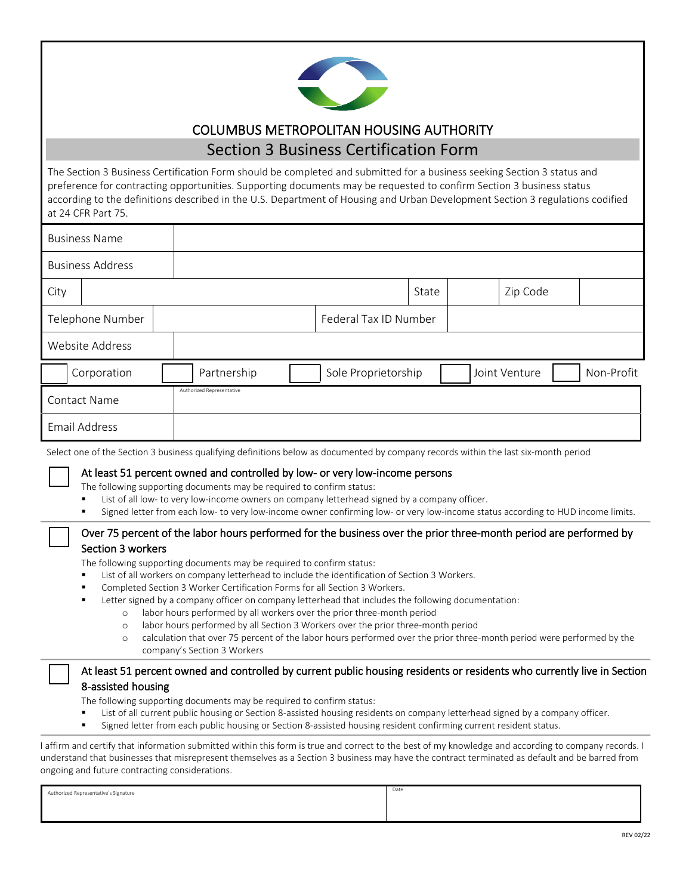

## COLUMBUS METROPOLITAN HOUSING AUTHORITY

# Section 3 Business Certification Form

The Section 3 Business Certification Form should be completed and submitted for a business seeking Section 3 status and preference for contracting opportunities. Supporting documents may be requested to confirm Section 3 business status according to the definitions described in the U.S. Department of Housing and Urban Development Section 3 regulations codified at 24 CFR Part 75.

| <b>Business Name</b>    |             |                           |                       |                     |       |  |               |            |
|-------------------------|-------------|---------------------------|-----------------------|---------------------|-------|--|---------------|------------|
| <b>Business Address</b> |             |                           |                       |                     |       |  |               |            |
| City                    |             |                           |                       |                     | State |  | Zip Code      |            |
| Telephone Number        |             |                           | Federal Tax ID Number |                     |       |  |               |            |
| Website Address         |             |                           |                       |                     |       |  |               |            |
|                         | Corporation |                           | Partnership           | Sole Proprietorship |       |  | Joint Venture | Non-Profit |
| <b>Contact Name</b>     |             | Authorized Representative |                       |                     |       |  |               |            |
| <b>Email Address</b>    |             |                           |                       |                     |       |  |               |            |

Select one of the Section 3 business qualifying definitions below as documented by company records within the last six-month period

#### At least 51 percent owned and controlled by low- or very low-income persons

The following supporting documents may be required to confirm status:

- List of all low- to very low-income owners on company letterhead signed by a company officer.
- Signed letter from each low- to very low-income owner confirming low- or very low-income status according to HUD income limits.

#### Over 75 percent of the labor hours performed for the business over the prior three-month period are performed by Section 3 workers

The following supporting documents may be required to confirm status:

- List of all workers on company letterhead to include the identification of Section 3 Workers.
- Completed Section 3 Worker Certification Forms for all Section 3 Workers.
- Letter signed by a company officer on company letterhead that includes the following documentation:
	- o labor hours performed by all workers over the prior three-month period
	- labor hours performed by all Section 3 Workers over the prior three-month period
	- o calculation that over 75 percent of the labor hours performed over the prior three-month period were performed by the company's Section 3 Workers

#### At least 51 percent owned and controlled by current public housing residents or residents who currently live in Section 8-assisted housing

The following supporting documents may be required to confirm status:

- List of all current public housing or Section 8-assisted housing residents on company letterhead signed by a company officer.
- Signed letter from each public housing or Section 8-assisted housing resident confirming current resident status.

I affirm and certify that information submitted within this form is true and correct to the best of my knowledge and according to company records. I understand that businesses that misrepresent themselves as a Section 3 business may have the contract terminated as default and be barred from ongoing and future contracting considerations.

| Authorized Representative's Signature | Date |
|---------------------------------------|------|
|                                       |      |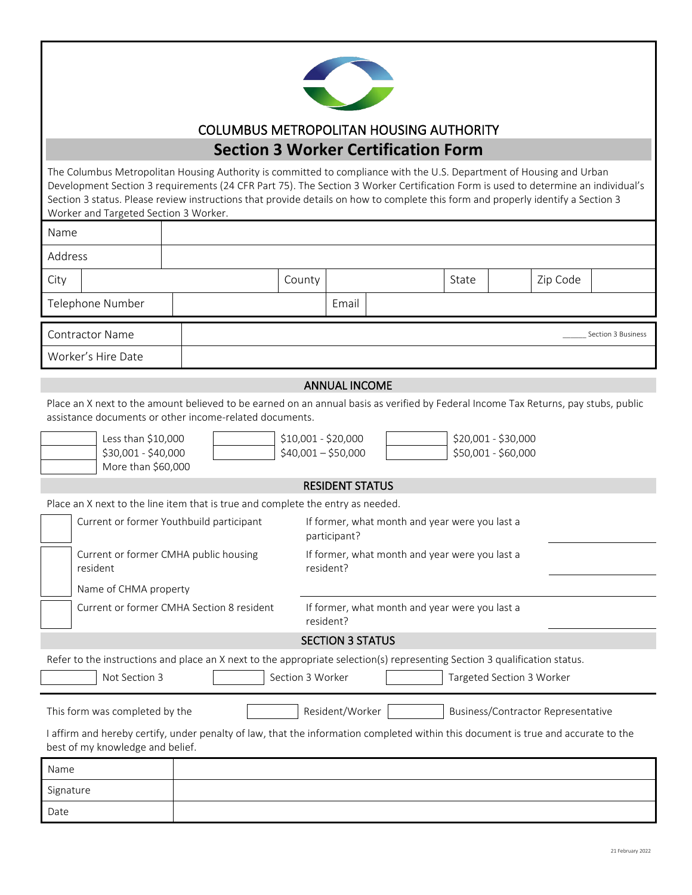

## COLUMBUS METROPOLITAN HOUSING AUTHORITY **Section 3 Worker Certification Form**

The Columbus Metropolitan Housing Authority is committed to compliance with the U.S. Department of Housing and Urban Development Section 3 requirements (24 CFR Part 75). The Section 3 Worker Certification Form is used to determine an individual's Section 3 status. Please review instructions that provide details on how to complete this form and properly identify a Section 3 Worker and Targeted Section 3 Worker. Name Address City | County | County | County | State | Zip Code Telephone Number | Email Contractor Name \_\_\_\_\_\_ Section 3 Business Worker's Hire Date ANNUAL INCOME Place an X next to the amount believed to be earned on an annual basis as verified by Federal Income Tax Returns, pay stubs, public assistance documents or other income-related documents. Less than \$10,000  $\parallel$  \$10,001 - \$20,000  $\parallel$  \$20,001 - \$30,000  $$30,001 - $40,000$   $$40,001 - $50,000$   $$50,001 - $60,000$ More than \$60,000 RESIDENT STATUS Place an X next to the line item that is true and complete the entry as needed. Current or former Youthbuild participant If former, what month and year were you last a participant? Current or former CMHA public housing resident If former, what month and year were you last a resident? Name of CHMA property Current or former CMHA Section 8 resident If former, what month and year were you last a resident? SECTION 3 STATUS Refer to the instructions and place an X next to the appropriate selection(s) representing Section 3 qualification status. Not Section 3 Section 3 Section 3 Worker Not Section 3 Worker Not Section 3 Worker This form was completed by the Resident/Worker Business/Contractor Representative I affirm and hereby certify, under penalty of law, that the information completed within this document is true and accurate to the best of my knowledge and belief. Name Signature

Date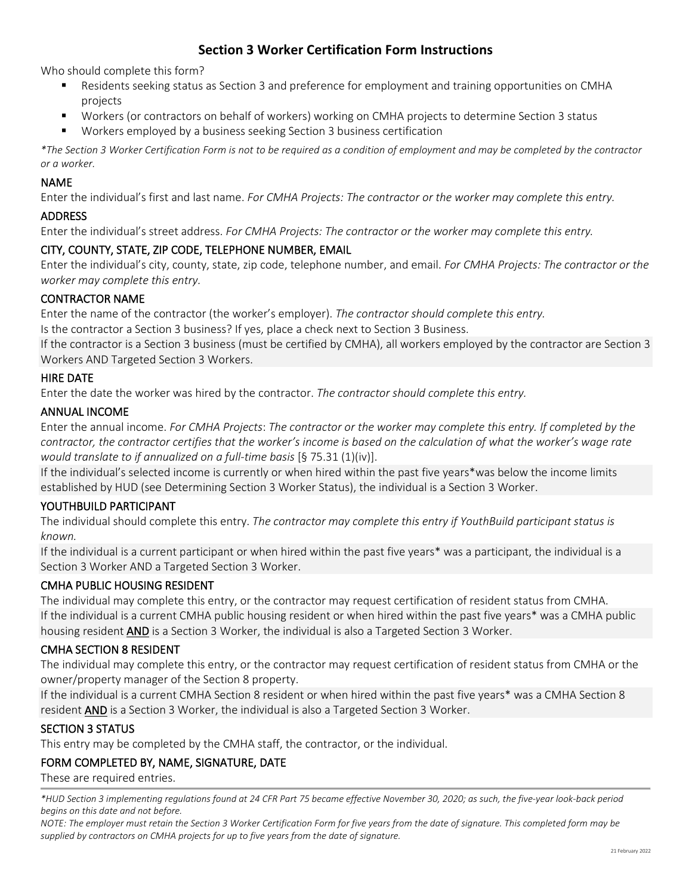## **Section 3 Worker Certification Form Instructions**

Who should complete this form?

- Residents seeking status as Section 3 and preference for employment and training opportunities on CMHA projects
- Workers (or contractors on behalf of workers) working on CMHA projects to determine Section 3 status
- Workers employed by a business seeking Section 3 business certification

*\*The Section 3 Worker Certification Form is not to be required as a condition of employment and may be completed by the contractor or a worker.*

### NAME

Enter the individual's first and last name. *For CMHA Projects: The contractor or the worker may complete this entry.* 

#### ADDRESS

Enter the individual's street address. *For CMHA Projects: The contractor or the worker may complete this entry.*

## CITY, COUNTY, STATE, ZIP CODE, TELEPHONE NUMBER, EMAIL

Enter the individual's city, county, state, zip code, telephone number, and email. *For CMHA Projects: The contractor or the worker may complete this entry.*

#### CONTRACTOR NAME

Enter the name of the contractor (the worker's employer). *The contractor should complete this entry.*

Is the contractor a Section 3 business? If yes, place a check next to Section 3 Business.

If the contractor is a Section 3 business (must be certified by CMHA), all workers employed by the contractor are Section 3 Workers AND Targeted Section 3 Workers.

#### HIRE DATE

Enter the date the worker was hired by the contractor. *The contractor should complete this entry.*

#### ANNUAL INCOME

Enter the annual income. *For CMHA Projects*: *The contractor or the worker may complete this entry. If completed by the contractor, the contractor certifies that the worker's income is based on the calculation of what the worker's wage rate would translate to if annualized on a full-time basis* [§ 75.31 (1)(iv)].

If the individual's selected income is currently or when hired within the past five years\*was below the income limits established by HUD (see Determining Section 3 Worker Status), the individual is a Section 3 Worker.

## YOUTHBUILD PARTICIPANT

The individual should complete this entry. *The contractor may complete this entry if YouthBuild participant status is known.*

If the individual is a current participant or when hired within the past five years\* was a participant, the individual is a Section 3 Worker AND a Targeted Section 3 Worker.

## CMHA PUBLIC HOUSING RESIDENT

The individual may complete this entry, or the contractor may request certification of resident status from CMHA. If the individual is a current CMHA public housing resident or when hired within the past five years\* was a CMHA public housing resident AND is a Section 3 Worker, the individual is also a Targeted Section 3 Worker.

## CMHA SECTION 8 RESIDENT

The individual may complete this entry, or the contractor may request certification of resident status from CMHA or the owner/property manager of the Section 8 property.

If the individual is a current CMHA Section 8 resident or when hired within the past five years\* was a CMHA Section 8 resident AND is a Section 3 Worker, the individual is also a Targeted Section 3 Worker.

## SECTION 3 STATUS

This entry may be completed by the CMHA staff, the contractor, or the individual.

## FORM COMPLETED BY, NAME, SIGNATURE, DATE

These are required entries.

*\*HUD Section 3 implementing regulations found at 24 CFR Part 75 became effective November 30, 2020; as such, the five-year look-back period begins on this date and not before.* 

*NOTE: The employer must retain the Section 3 Worker Certification Form for five years from the date of signature. This completed form may be supplied by contractors on CMHA projects for up to five years from the date of signature.*